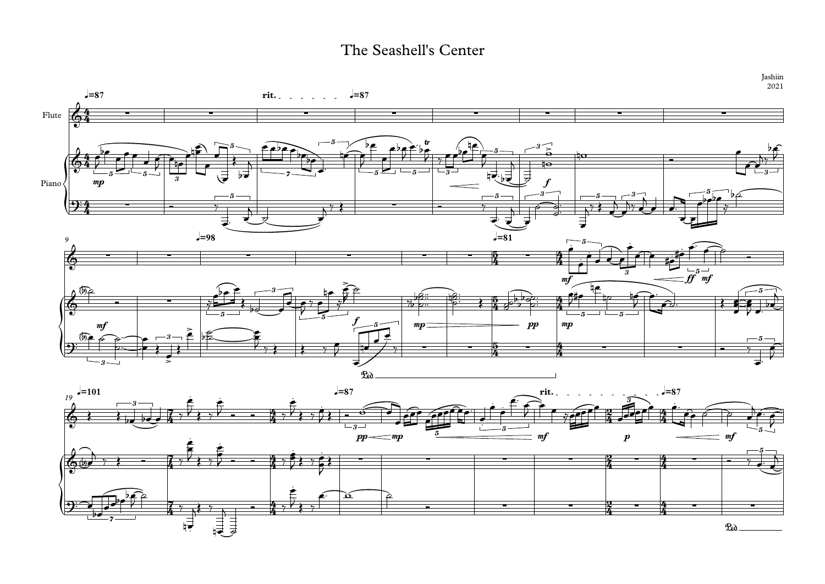



## The Seashell's Center

Jashiin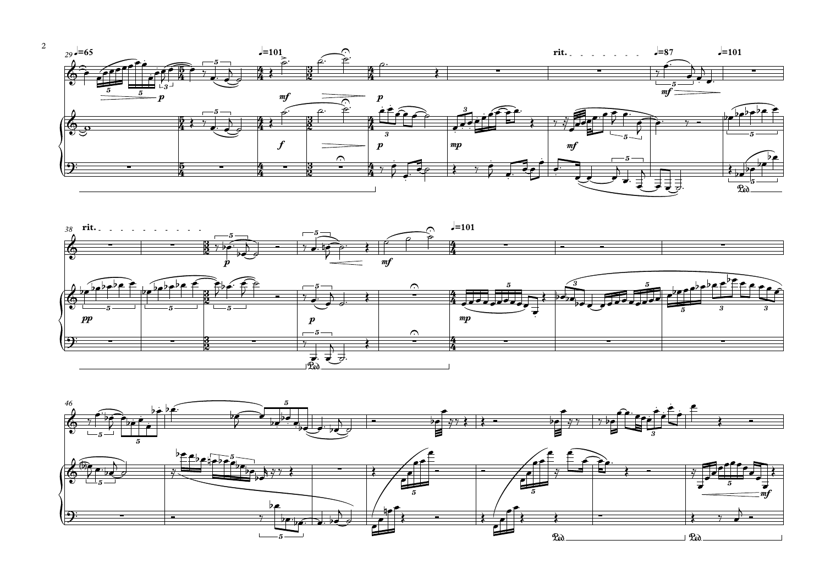